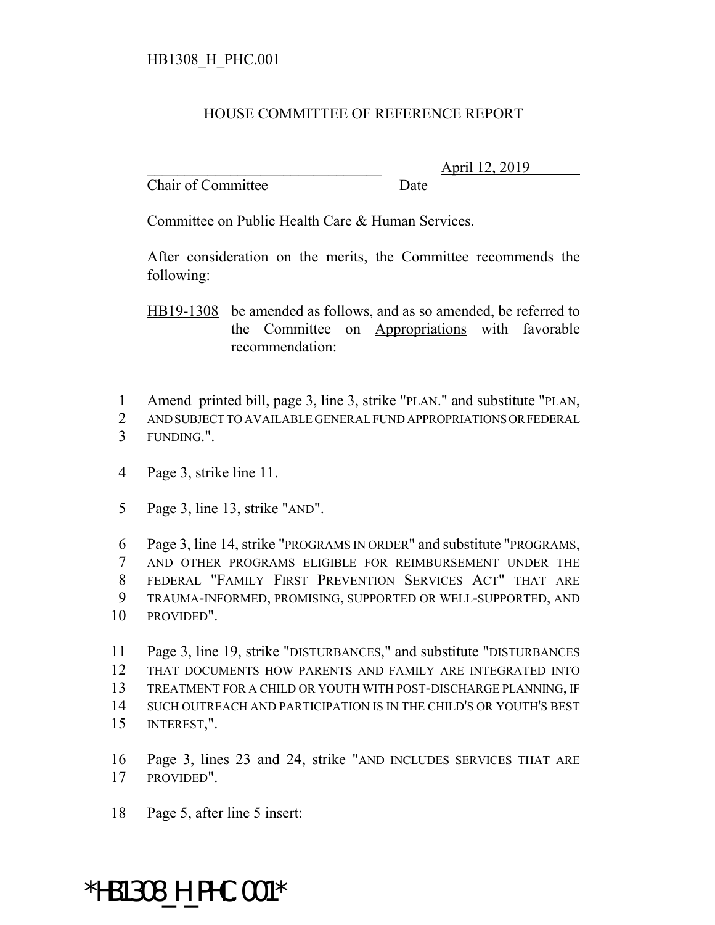## HOUSE COMMITTEE OF REFERENCE REPORT

Chair of Committee Date

\_\_\_\_\_\_\_\_\_\_\_\_\_\_\_\_\_\_\_\_\_\_\_\_\_\_\_\_\_\_\_ April 12, 2019

Committee on Public Health Care & Human Services.

After consideration on the merits, the Committee recommends the following:

HB19-1308 be amended as follows, and as so amended, be referred to the Committee on Appropriations with favorable recommendation:

- Amend printed bill, page 3, line 3, strike "PLAN." and substitute "PLAN,
- AND SUBJECT TO AVAILABLE GENERAL FUND APPROPRIATIONS OR FEDERAL FUNDING.".

Page 3, strike line 11.

Page 3, line 13, strike "AND".

 Page 3, line 14, strike "PROGRAMS IN ORDER" and substitute "PROGRAMS, AND OTHER PROGRAMS ELIGIBLE FOR REIMBURSEMENT UNDER THE FEDERAL "FAMILY FIRST PREVENTION SERVICES ACT" THAT ARE TRAUMA-INFORMED, PROMISING, SUPPORTED OR WELL-SUPPORTED, AND PROVIDED".

 Page 3, line 19, strike "DISTURBANCES," and substitute "DISTURBANCES THAT DOCUMENTS HOW PARENTS AND FAMILY ARE INTEGRATED INTO TREATMENT FOR A CHILD OR YOUTH WITH POST-DISCHARGE PLANNING, IF SUCH OUTREACH AND PARTICIPATION IS IN THE CHILD'S OR YOUTH'S BEST INTEREST,".

 Page 3, lines 23 and 24, strike "AND INCLUDES SERVICES THAT ARE PROVIDED".

Page 5, after line 5 insert:

## \*HB1308\_H\_PHC.001\*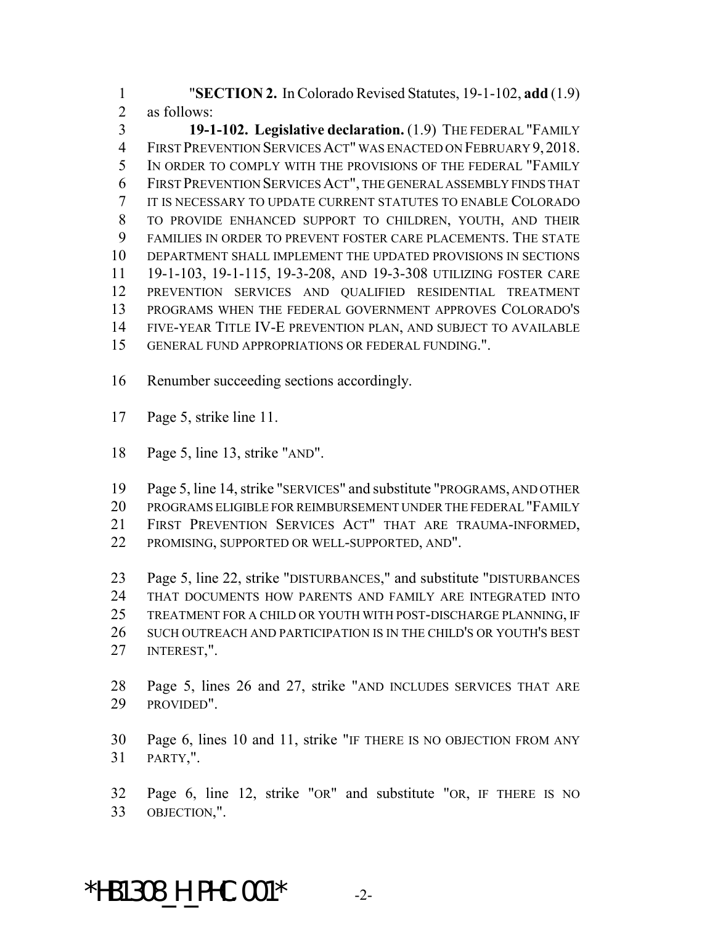"**SECTION 2.** In Colorado Revised Statutes, 19-1-102, **add** (1.9) as follows:

 **19-1-102. Legislative declaration.** (1.9) THE FEDERAL "FAMILY FIRST PREVENTION SERVICES ACT" WAS ENACTED ON FEBRUARY 9, 2018. IN ORDER TO COMPLY WITH THE PROVISIONS OF THE FEDERAL "FAMILY FIRST PREVENTION SERVICES ACT", THE GENERAL ASSEMBLY FINDS THAT IT IS NECESSARY TO UPDATE CURRENT STATUTES TO ENABLE COLORADO TO PROVIDE ENHANCED SUPPORT TO CHILDREN, YOUTH, AND THEIR FAMILIES IN ORDER TO PREVENT FOSTER CARE PLACEMENTS. THE STATE DEPARTMENT SHALL IMPLEMENT THE UPDATED PROVISIONS IN SECTIONS 19-1-103, 19-1-115, 19-3-208, AND 19-3-308 UTILIZING FOSTER CARE PREVENTION SERVICES AND QUALIFIED RESIDENTIAL TREATMENT PROGRAMS WHEN THE FEDERAL GOVERNMENT APPROVES COLORADO'S FIVE-YEAR TITLE IV-E PREVENTION PLAN, AND SUBJECT TO AVAILABLE GENERAL FUND APPROPRIATIONS OR FEDERAL FUNDING.".

Renumber succeeding sections accordingly.

- Page 5, strike line 11.
- Page 5, line 13, strike "AND".

 Page 5, line 14, strike "SERVICES" and substitute "PROGRAMS, AND OTHER PROGRAMS ELIGIBLE FOR REIMBURSEMENT UNDER THE FEDERAL "FAMILY FIRST PREVENTION SERVICES ACT" THAT ARE TRAUMA-INFORMED, PROMISING, SUPPORTED OR WELL-SUPPORTED, AND".

 Page 5, line 22, strike "DISTURBANCES," and substitute "DISTURBANCES THAT DOCUMENTS HOW PARENTS AND FAMILY ARE INTEGRATED INTO TREATMENT FOR A CHILD OR YOUTH WITH POST-DISCHARGE PLANNING, IF SUCH OUTREACH AND PARTICIPATION IS IN THE CHILD'S OR YOUTH'S BEST INTEREST,".

- Page 5, lines 26 and 27, strike "AND INCLUDES SERVICES THAT ARE PROVIDED".
- Page 6, lines 10 and 11, strike "IF THERE IS NO OBJECTION FROM ANY PARTY,".
- Page 6, line 12, strike "OR" and substitute "OR, IF THERE IS NO OBJECTION,".

 $*$ HB1308 H PHC.001 $*$  -2-